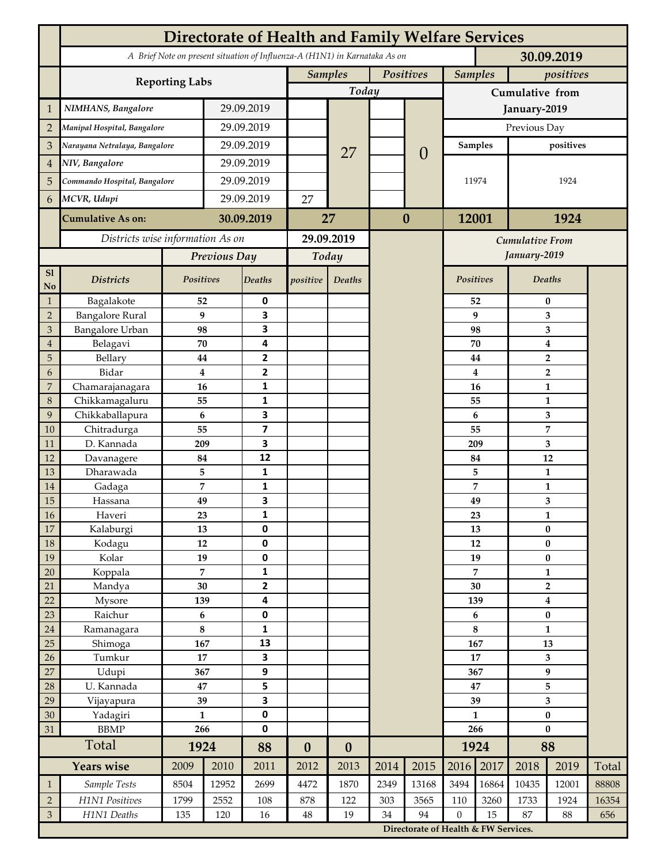| A Brief Note on present situation of Influenza-A (H1N1) in Karnataka As on<br>30.09.2019<br>Positives<br><b>Samples</b><br><b>Samples</b><br>positives<br><b>Reporting Labs</b><br>Today<br>Cumulative from<br>NIMHANS, Bangalore<br>29.09.2019<br>$\mathbf{1}$<br>January-2019<br>29.09.2019<br>$\overline{2}$<br>Manipal Hospital, Bangalore<br>Previous Day<br>29.09.2019<br>3<br>Narayana Netralaya, Bangalore<br><b>Samples</b><br>positives<br>27<br>$\theta$<br>29.09.2019<br>NIV, Bangalore<br>$\overline{4}$<br>29.09.2019<br>5<br>Commando Hospital, Bangalore<br>1924<br>11974<br>29.09.2019<br>MCVR, Udupi<br>27<br>6<br>12001<br>$\bf{0}$<br>1924<br><b>Cumulative As on:</b><br>30.09.2019<br>27<br>Districts wise information As on<br>29.09.2019<br><b>Cumulative From</b><br>January-2019<br>Previous Day<br>Today<br>S1<br>Positives<br><b>Deaths</b><br>Positives<br><b>Districts</b><br>Deaths<br>positive<br>Deaths<br>No<br>$\mathbf{1}$<br>Bagalakote<br>52<br>0<br>52<br>$\bf{0}$<br><b>Bangalore Rural</b><br>9<br>3<br>9<br>$\overline{2}$<br>3<br><b>Bangalore Urban</b><br>3<br>3<br>98<br>98<br>3<br>4<br>Belagavi<br>70<br>70<br>$\boldsymbol{4}$<br>$\overline{4}$<br>Bellary<br>$\mathbf{2}$<br>5<br>$\mathbf 2$<br>44<br>44<br>2<br>6<br>Bidar<br>$\bf{4}$<br>4<br>$\overline{2}$<br>$\overline{7}$<br>Chamarajanagara<br>1<br>16<br>16<br>$\mathbf{1}$<br>Chikkamagaluru<br>8<br>55<br>1<br>55<br>1<br>3<br>6<br>9<br>Chikkaballapura<br>6<br>3<br>$\overline{7}$<br>$\overline{\mathbf{z}}$<br>55<br>55<br>10<br>Chitradurga<br>3<br>D. Kannada<br>3<br>11<br>209<br>209<br>12<br>12<br>84<br>84<br>12<br>Davanagere<br>5<br>1<br>13<br>Dharawada<br>5<br>1<br>7<br>1<br>7<br>$\mathbf{1}$<br>14<br>Gadaga<br>3<br>15<br>49<br>49<br>3<br>Hassana<br>16<br>Haveri<br>23<br>1<br>23<br>1<br>17<br>0<br>$\pmb{0}$<br>Kalaburgi<br>13<br>13<br>18<br>0<br>$12\,$<br>12<br>$\pmb{0}$<br>Kodagu<br>19<br>19<br>0<br>$\bf{0}$<br>Kolar<br>19<br>$\overline{7}$<br>1<br>7<br>20<br>Koppala<br>$\mathbf{1}$<br>$\overline{\mathbf{2}}$<br>30<br>Mandya<br>30<br>$\overline{2}$<br>21<br>22<br>4<br>Mysore<br>139<br>139<br>$\boldsymbol{4}$<br>Raichur<br>23<br>$\bf 6$<br>0<br>$\pmb{0}$<br>6<br>$\bf 8$<br>1<br>8<br>24<br>Ramanagara<br>$\mathbf{1}$<br>25<br>Shimoga<br>13<br>167<br>167<br>13<br>17<br>3<br>Tumkur<br>26<br>17<br>3<br>$\boldsymbol{9}$<br>27<br>9<br>Udupi<br>367<br>367<br>5<br>28<br>U. Kannada<br>5<br>47<br>47<br>3<br>29<br>Vijayapura<br>39<br>39<br>3<br>0<br>30<br>Yadagiri<br>$\mathbf{1}$<br>$\mathbf{1}$<br>$\pmb{0}$<br>266<br>0<br><b>BBMP</b><br>266<br>$\bf{0}$<br>31<br>Total<br>1924<br>88<br>1924<br>88<br>$\boldsymbol{0}$<br>$\boldsymbol{0}$<br><b>Years wise</b><br>2017<br>2014<br>2015<br>2016<br>2009<br>2010<br>2011<br>2013<br>2018<br>2019<br>Total<br>2012<br>3494<br>Sample Tests<br>8504<br>12952<br>2699<br>1870<br>2349<br>13168<br>16864<br>10435<br>88808<br>4472<br>12001<br>$\mathbf{1}$<br>H1N1 Positives<br>$\sqrt{2}$<br>1799<br>2552<br>122<br>3565<br>110<br>3260<br>1733<br>1924<br>16354<br>108<br>878<br>303<br>$\ensuremath{\mathfrak{Z}}$<br>H1N1 Deaths<br>94<br>$\mathbf{0}$<br>15<br>87<br>120<br>$48\,$<br>19<br>34<br>88<br>656<br>135<br>16<br>Directorate of Health & FW Services. | <b>Directorate of Health and Family Welfare Services</b> |  |  |  |  |  |  |  |  |  |  |  |  |  |
|-------------------------------------------------------------------------------------------------------------------------------------------------------------------------------------------------------------------------------------------------------------------------------------------------------------------------------------------------------------------------------------------------------------------------------------------------------------------------------------------------------------------------------------------------------------------------------------------------------------------------------------------------------------------------------------------------------------------------------------------------------------------------------------------------------------------------------------------------------------------------------------------------------------------------------------------------------------------------------------------------------------------------------------------------------------------------------------------------------------------------------------------------------------------------------------------------------------------------------------------------------------------------------------------------------------------------------------------------------------------------------------------------------------------------------------------------------------------------------------------------------------------------------------------------------------------------------------------------------------------------------------------------------------------------------------------------------------------------------------------------------------------------------------------------------------------------------------------------------------------------------------------------------------------------------------------------------------------------------------------------------------------------------------------------------------------------------------------------------------------------------------------------------------------------------------------------------------------------------------------------------------------------------------------------------------------------------------------------------------------------------------------------------------------------------------------------------------------------------------------------------------------------------------------------------------------------------------------------------------------------------------------------------------------------------------------------------------------------------------------------------------------------------------------------------------------------------------------------------------------------------------------------------------------------------------------------------------------------------------------------------------------------------------------------------------------------------------------------------------------------------------------------------------------------------------------------------------------------------------------------------------------------------------------|----------------------------------------------------------|--|--|--|--|--|--|--|--|--|--|--|--|--|
|                                                                                                                                                                                                                                                                                                                                                                                                                                                                                                                                                                                                                                                                                                                                                                                                                                                                                                                                                                                                                                                                                                                                                                                                                                                                                                                                                                                                                                                                                                                                                                                                                                                                                                                                                                                                                                                                                                                                                                                                                                                                                                                                                                                                                                                                                                                                                                                                                                                                                                                                                                                                                                                                                                                                                                                                                                                                                                                                                                                                                                                                                                                                                                                                                                                                                           |                                                          |  |  |  |  |  |  |  |  |  |  |  |  |  |
|                                                                                                                                                                                                                                                                                                                                                                                                                                                                                                                                                                                                                                                                                                                                                                                                                                                                                                                                                                                                                                                                                                                                                                                                                                                                                                                                                                                                                                                                                                                                                                                                                                                                                                                                                                                                                                                                                                                                                                                                                                                                                                                                                                                                                                                                                                                                                                                                                                                                                                                                                                                                                                                                                                                                                                                                                                                                                                                                                                                                                                                                                                                                                                                                                                                                                           |                                                          |  |  |  |  |  |  |  |  |  |  |  |  |  |
|                                                                                                                                                                                                                                                                                                                                                                                                                                                                                                                                                                                                                                                                                                                                                                                                                                                                                                                                                                                                                                                                                                                                                                                                                                                                                                                                                                                                                                                                                                                                                                                                                                                                                                                                                                                                                                                                                                                                                                                                                                                                                                                                                                                                                                                                                                                                                                                                                                                                                                                                                                                                                                                                                                                                                                                                                                                                                                                                                                                                                                                                                                                                                                                                                                                                                           |                                                          |  |  |  |  |  |  |  |  |  |  |  |  |  |
|                                                                                                                                                                                                                                                                                                                                                                                                                                                                                                                                                                                                                                                                                                                                                                                                                                                                                                                                                                                                                                                                                                                                                                                                                                                                                                                                                                                                                                                                                                                                                                                                                                                                                                                                                                                                                                                                                                                                                                                                                                                                                                                                                                                                                                                                                                                                                                                                                                                                                                                                                                                                                                                                                                                                                                                                                                                                                                                                                                                                                                                                                                                                                                                                                                                                                           |                                                          |  |  |  |  |  |  |  |  |  |  |  |  |  |
|                                                                                                                                                                                                                                                                                                                                                                                                                                                                                                                                                                                                                                                                                                                                                                                                                                                                                                                                                                                                                                                                                                                                                                                                                                                                                                                                                                                                                                                                                                                                                                                                                                                                                                                                                                                                                                                                                                                                                                                                                                                                                                                                                                                                                                                                                                                                                                                                                                                                                                                                                                                                                                                                                                                                                                                                                                                                                                                                                                                                                                                                                                                                                                                                                                                                                           |                                                          |  |  |  |  |  |  |  |  |  |  |  |  |  |
|                                                                                                                                                                                                                                                                                                                                                                                                                                                                                                                                                                                                                                                                                                                                                                                                                                                                                                                                                                                                                                                                                                                                                                                                                                                                                                                                                                                                                                                                                                                                                                                                                                                                                                                                                                                                                                                                                                                                                                                                                                                                                                                                                                                                                                                                                                                                                                                                                                                                                                                                                                                                                                                                                                                                                                                                                                                                                                                                                                                                                                                                                                                                                                                                                                                                                           |                                                          |  |  |  |  |  |  |  |  |  |  |  |  |  |
|                                                                                                                                                                                                                                                                                                                                                                                                                                                                                                                                                                                                                                                                                                                                                                                                                                                                                                                                                                                                                                                                                                                                                                                                                                                                                                                                                                                                                                                                                                                                                                                                                                                                                                                                                                                                                                                                                                                                                                                                                                                                                                                                                                                                                                                                                                                                                                                                                                                                                                                                                                                                                                                                                                                                                                                                                                                                                                                                                                                                                                                                                                                                                                                                                                                                                           |                                                          |  |  |  |  |  |  |  |  |  |  |  |  |  |
|                                                                                                                                                                                                                                                                                                                                                                                                                                                                                                                                                                                                                                                                                                                                                                                                                                                                                                                                                                                                                                                                                                                                                                                                                                                                                                                                                                                                                                                                                                                                                                                                                                                                                                                                                                                                                                                                                                                                                                                                                                                                                                                                                                                                                                                                                                                                                                                                                                                                                                                                                                                                                                                                                                                                                                                                                                                                                                                                                                                                                                                                                                                                                                                                                                                                                           |                                                          |  |  |  |  |  |  |  |  |  |  |  |  |  |
|                                                                                                                                                                                                                                                                                                                                                                                                                                                                                                                                                                                                                                                                                                                                                                                                                                                                                                                                                                                                                                                                                                                                                                                                                                                                                                                                                                                                                                                                                                                                                                                                                                                                                                                                                                                                                                                                                                                                                                                                                                                                                                                                                                                                                                                                                                                                                                                                                                                                                                                                                                                                                                                                                                                                                                                                                                                                                                                                                                                                                                                                                                                                                                                                                                                                                           |                                                          |  |  |  |  |  |  |  |  |  |  |  |  |  |
|                                                                                                                                                                                                                                                                                                                                                                                                                                                                                                                                                                                                                                                                                                                                                                                                                                                                                                                                                                                                                                                                                                                                                                                                                                                                                                                                                                                                                                                                                                                                                                                                                                                                                                                                                                                                                                                                                                                                                                                                                                                                                                                                                                                                                                                                                                                                                                                                                                                                                                                                                                                                                                                                                                                                                                                                                                                                                                                                                                                                                                                                                                                                                                                                                                                                                           |                                                          |  |  |  |  |  |  |  |  |  |  |  |  |  |
|                                                                                                                                                                                                                                                                                                                                                                                                                                                                                                                                                                                                                                                                                                                                                                                                                                                                                                                                                                                                                                                                                                                                                                                                                                                                                                                                                                                                                                                                                                                                                                                                                                                                                                                                                                                                                                                                                                                                                                                                                                                                                                                                                                                                                                                                                                                                                                                                                                                                                                                                                                                                                                                                                                                                                                                                                                                                                                                                                                                                                                                                                                                                                                                                                                                                                           |                                                          |  |  |  |  |  |  |  |  |  |  |  |  |  |
|                                                                                                                                                                                                                                                                                                                                                                                                                                                                                                                                                                                                                                                                                                                                                                                                                                                                                                                                                                                                                                                                                                                                                                                                                                                                                                                                                                                                                                                                                                                                                                                                                                                                                                                                                                                                                                                                                                                                                                                                                                                                                                                                                                                                                                                                                                                                                                                                                                                                                                                                                                                                                                                                                                                                                                                                                                                                                                                                                                                                                                                                                                                                                                                                                                                                                           |                                                          |  |  |  |  |  |  |  |  |  |  |  |  |  |
|                                                                                                                                                                                                                                                                                                                                                                                                                                                                                                                                                                                                                                                                                                                                                                                                                                                                                                                                                                                                                                                                                                                                                                                                                                                                                                                                                                                                                                                                                                                                                                                                                                                                                                                                                                                                                                                                                                                                                                                                                                                                                                                                                                                                                                                                                                                                                                                                                                                                                                                                                                                                                                                                                                                                                                                                                                                                                                                                                                                                                                                                                                                                                                                                                                                                                           |                                                          |  |  |  |  |  |  |  |  |  |  |  |  |  |
|                                                                                                                                                                                                                                                                                                                                                                                                                                                                                                                                                                                                                                                                                                                                                                                                                                                                                                                                                                                                                                                                                                                                                                                                                                                                                                                                                                                                                                                                                                                                                                                                                                                                                                                                                                                                                                                                                                                                                                                                                                                                                                                                                                                                                                                                                                                                                                                                                                                                                                                                                                                                                                                                                                                                                                                                                                                                                                                                                                                                                                                                                                                                                                                                                                                                                           |                                                          |  |  |  |  |  |  |  |  |  |  |  |  |  |
|                                                                                                                                                                                                                                                                                                                                                                                                                                                                                                                                                                                                                                                                                                                                                                                                                                                                                                                                                                                                                                                                                                                                                                                                                                                                                                                                                                                                                                                                                                                                                                                                                                                                                                                                                                                                                                                                                                                                                                                                                                                                                                                                                                                                                                                                                                                                                                                                                                                                                                                                                                                                                                                                                                                                                                                                                                                                                                                                                                                                                                                                                                                                                                                                                                                                                           |                                                          |  |  |  |  |  |  |  |  |  |  |  |  |  |
|                                                                                                                                                                                                                                                                                                                                                                                                                                                                                                                                                                                                                                                                                                                                                                                                                                                                                                                                                                                                                                                                                                                                                                                                                                                                                                                                                                                                                                                                                                                                                                                                                                                                                                                                                                                                                                                                                                                                                                                                                                                                                                                                                                                                                                                                                                                                                                                                                                                                                                                                                                                                                                                                                                                                                                                                                                                                                                                                                                                                                                                                                                                                                                                                                                                                                           |                                                          |  |  |  |  |  |  |  |  |  |  |  |  |  |
|                                                                                                                                                                                                                                                                                                                                                                                                                                                                                                                                                                                                                                                                                                                                                                                                                                                                                                                                                                                                                                                                                                                                                                                                                                                                                                                                                                                                                                                                                                                                                                                                                                                                                                                                                                                                                                                                                                                                                                                                                                                                                                                                                                                                                                                                                                                                                                                                                                                                                                                                                                                                                                                                                                                                                                                                                                                                                                                                                                                                                                                                                                                                                                                                                                                                                           |                                                          |  |  |  |  |  |  |  |  |  |  |  |  |  |
|                                                                                                                                                                                                                                                                                                                                                                                                                                                                                                                                                                                                                                                                                                                                                                                                                                                                                                                                                                                                                                                                                                                                                                                                                                                                                                                                                                                                                                                                                                                                                                                                                                                                                                                                                                                                                                                                                                                                                                                                                                                                                                                                                                                                                                                                                                                                                                                                                                                                                                                                                                                                                                                                                                                                                                                                                                                                                                                                                                                                                                                                                                                                                                                                                                                                                           |                                                          |  |  |  |  |  |  |  |  |  |  |  |  |  |
|                                                                                                                                                                                                                                                                                                                                                                                                                                                                                                                                                                                                                                                                                                                                                                                                                                                                                                                                                                                                                                                                                                                                                                                                                                                                                                                                                                                                                                                                                                                                                                                                                                                                                                                                                                                                                                                                                                                                                                                                                                                                                                                                                                                                                                                                                                                                                                                                                                                                                                                                                                                                                                                                                                                                                                                                                                                                                                                                                                                                                                                                                                                                                                                                                                                                                           |                                                          |  |  |  |  |  |  |  |  |  |  |  |  |  |
|                                                                                                                                                                                                                                                                                                                                                                                                                                                                                                                                                                                                                                                                                                                                                                                                                                                                                                                                                                                                                                                                                                                                                                                                                                                                                                                                                                                                                                                                                                                                                                                                                                                                                                                                                                                                                                                                                                                                                                                                                                                                                                                                                                                                                                                                                                                                                                                                                                                                                                                                                                                                                                                                                                                                                                                                                                                                                                                                                                                                                                                                                                                                                                                                                                                                                           |                                                          |  |  |  |  |  |  |  |  |  |  |  |  |  |
|                                                                                                                                                                                                                                                                                                                                                                                                                                                                                                                                                                                                                                                                                                                                                                                                                                                                                                                                                                                                                                                                                                                                                                                                                                                                                                                                                                                                                                                                                                                                                                                                                                                                                                                                                                                                                                                                                                                                                                                                                                                                                                                                                                                                                                                                                                                                                                                                                                                                                                                                                                                                                                                                                                                                                                                                                                                                                                                                                                                                                                                                                                                                                                                                                                                                                           |                                                          |  |  |  |  |  |  |  |  |  |  |  |  |  |
|                                                                                                                                                                                                                                                                                                                                                                                                                                                                                                                                                                                                                                                                                                                                                                                                                                                                                                                                                                                                                                                                                                                                                                                                                                                                                                                                                                                                                                                                                                                                                                                                                                                                                                                                                                                                                                                                                                                                                                                                                                                                                                                                                                                                                                                                                                                                                                                                                                                                                                                                                                                                                                                                                                                                                                                                                                                                                                                                                                                                                                                                                                                                                                                                                                                                                           |                                                          |  |  |  |  |  |  |  |  |  |  |  |  |  |
|                                                                                                                                                                                                                                                                                                                                                                                                                                                                                                                                                                                                                                                                                                                                                                                                                                                                                                                                                                                                                                                                                                                                                                                                                                                                                                                                                                                                                                                                                                                                                                                                                                                                                                                                                                                                                                                                                                                                                                                                                                                                                                                                                                                                                                                                                                                                                                                                                                                                                                                                                                                                                                                                                                                                                                                                                                                                                                                                                                                                                                                                                                                                                                                                                                                                                           |                                                          |  |  |  |  |  |  |  |  |  |  |  |  |  |
|                                                                                                                                                                                                                                                                                                                                                                                                                                                                                                                                                                                                                                                                                                                                                                                                                                                                                                                                                                                                                                                                                                                                                                                                                                                                                                                                                                                                                                                                                                                                                                                                                                                                                                                                                                                                                                                                                                                                                                                                                                                                                                                                                                                                                                                                                                                                                                                                                                                                                                                                                                                                                                                                                                                                                                                                                                                                                                                                                                                                                                                                                                                                                                                                                                                                                           |                                                          |  |  |  |  |  |  |  |  |  |  |  |  |  |
|                                                                                                                                                                                                                                                                                                                                                                                                                                                                                                                                                                                                                                                                                                                                                                                                                                                                                                                                                                                                                                                                                                                                                                                                                                                                                                                                                                                                                                                                                                                                                                                                                                                                                                                                                                                                                                                                                                                                                                                                                                                                                                                                                                                                                                                                                                                                                                                                                                                                                                                                                                                                                                                                                                                                                                                                                                                                                                                                                                                                                                                                                                                                                                                                                                                                                           |                                                          |  |  |  |  |  |  |  |  |  |  |  |  |  |
|                                                                                                                                                                                                                                                                                                                                                                                                                                                                                                                                                                                                                                                                                                                                                                                                                                                                                                                                                                                                                                                                                                                                                                                                                                                                                                                                                                                                                                                                                                                                                                                                                                                                                                                                                                                                                                                                                                                                                                                                                                                                                                                                                                                                                                                                                                                                                                                                                                                                                                                                                                                                                                                                                                                                                                                                                                                                                                                                                                                                                                                                                                                                                                                                                                                                                           |                                                          |  |  |  |  |  |  |  |  |  |  |  |  |  |
|                                                                                                                                                                                                                                                                                                                                                                                                                                                                                                                                                                                                                                                                                                                                                                                                                                                                                                                                                                                                                                                                                                                                                                                                                                                                                                                                                                                                                                                                                                                                                                                                                                                                                                                                                                                                                                                                                                                                                                                                                                                                                                                                                                                                                                                                                                                                                                                                                                                                                                                                                                                                                                                                                                                                                                                                                                                                                                                                                                                                                                                                                                                                                                                                                                                                                           |                                                          |  |  |  |  |  |  |  |  |  |  |  |  |  |
|                                                                                                                                                                                                                                                                                                                                                                                                                                                                                                                                                                                                                                                                                                                                                                                                                                                                                                                                                                                                                                                                                                                                                                                                                                                                                                                                                                                                                                                                                                                                                                                                                                                                                                                                                                                                                                                                                                                                                                                                                                                                                                                                                                                                                                                                                                                                                                                                                                                                                                                                                                                                                                                                                                                                                                                                                                                                                                                                                                                                                                                                                                                                                                                                                                                                                           |                                                          |  |  |  |  |  |  |  |  |  |  |  |  |  |
|                                                                                                                                                                                                                                                                                                                                                                                                                                                                                                                                                                                                                                                                                                                                                                                                                                                                                                                                                                                                                                                                                                                                                                                                                                                                                                                                                                                                                                                                                                                                                                                                                                                                                                                                                                                                                                                                                                                                                                                                                                                                                                                                                                                                                                                                                                                                                                                                                                                                                                                                                                                                                                                                                                                                                                                                                                                                                                                                                                                                                                                                                                                                                                                                                                                                                           |                                                          |  |  |  |  |  |  |  |  |  |  |  |  |  |
|                                                                                                                                                                                                                                                                                                                                                                                                                                                                                                                                                                                                                                                                                                                                                                                                                                                                                                                                                                                                                                                                                                                                                                                                                                                                                                                                                                                                                                                                                                                                                                                                                                                                                                                                                                                                                                                                                                                                                                                                                                                                                                                                                                                                                                                                                                                                                                                                                                                                                                                                                                                                                                                                                                                                                                                                                                                                                                                                                                                                                                                                                                                                                                                                                                                                                           |                                                          |  |  |  |  |  |  |  |  |  |  |  |  |  |
|                                                                                                                                                                                                                                                                                                                                                                                                                                                                                                                                                                                                                                                                                                                                                                                                                                                                                                                                                                                                                                                                                                                                                                                                                                                                                                                                                                                                                                                                                                                                                                                                                                                                                                                                                                                                                                                                                                                                                                                                                                                                                                                                                                                                                                                                                                                                                                                                                                                                                                                                                                                                                                                                                                                                                                                                                                                                                                                                                                                                                                                                                                                                                                                                                                                                                           |                                                          |  |  |  |  |  |  |  |  |  |  |  |  |  |
|                                                                                                                                                                                                                                                                                                                                                                                                                                                                                                                                                                                                                                                                                                                                                                                                                                                                                                                                                                                                                                                                                                                                                                                                                                                                                                                                                                                                                                                                                                                                                                                                                                                                                                                                                                                                                                                                                                                                                                                                                                                                                                                                                                                                                                                                                                                                                                                                                                                                                                                                                                                                                                                                                                                                                                                                                                                                                                                                                                                                                                                                                                                                                                                                                                                                                           |                                                          |  |  |  |  |  |  |  |  |  |  |  |  |  |
|                                                                                                                                                                                                                                                                                                                                                                                                                                                                                                                                                                                                                                                                                                                                                                                                                                                                                                                                                                                                                                                                                                                                                                                                                                                                                                                                                                                                                                                                                                                                                                                                                                                                                                                                                                                                                                                                                                                                                                                                                                                                                                                                                                                                                                                                                                                                                                                                                                                                                                                                                                                                                                                                                                                                                                                                                                                                                                                                                                                                                                                                                                                                                                                                                                                                                           |                                                          |  |  |  |  |  |  |  |  |  |  |  |  |  |
|                                                                                                                                                                                                                                                                                                                                                                                                                                                                                                                                                                                                                                                                                                                                                                                                                                                                                                                                                                                                                                                                                                                                                                                                                                                                                                                                                                                                                                                                                                                                                                                                                                                                                                                                                                                                                                                                                                                                                                                                                                                                                                                                                                                                                                                                                                                                                                                                                                                                                                                                                                                                                                                                                                                                                                                                                                                                                                                                                                                                                                                                                                                                                                                                                                                                                           |                                                          |  |  |  |  |  |  |  |  |  |  |  |  |  |
|                                                                                                                                                                                                                                                                                                                                                                                                                                                                                                                                                                                                                                                                                                                                                                                                                                                                                                                                                                                                                                                                                                                                                                                                                                                                                                                                                                                                                                                                                                                                                                                                                                                                                                                                                                                                                                                                                                                                                                                                                                                                                                                                                                                                                                                                                                                                                                                                                                                                                                                                                                                                                                                                                                                                                                                                                                                                                                                                                                                                                                                                                                                                                                                                                                                                                           |                                                          |  |  |  |  |  |  |  |  |  |  |  |  |  |
|                                                                                                                                                                                                                                                                                                                                                                                                                                                                                                                                                                                                                                                                                                                                                                                                                                                                                                                                                                                                                                                                                                                                                                                                                                                                                                                                                                                                                                                                                                                                                                                                                                                                                                                                                                                                                                                                                                                                                                                                                                                                                                                                                                                                                                                                                                                                                                                                                                                                                                                                                                                                                                                                                                                                                                                                                                                                                                                                                                                                                                                                                                                                                                                                                                                                                           |                                                          |  |  |  |  |  |  |  |  |  |  |  |  |  |
|                                                                                                                                                                                                                                                                                                                                                                                                                                                                                                                                                                                                                                                                                                                                                                                                                                                                                                                                                                                                                                                                                                                                                                                                                                                                                                                                                                                                                                                                                                                                                                                                                                                                                                                                                                                                                                                                                                                                                                                                                                                                                                                                                                                                                                                                                                                                                                                                                                                                                                                                                                                                                                                                                                                                                                                                                                                                                                                                                                                                                                                                                                                                                                                                                                                                                           |                                                          |  |  |  |  |  |  |  |  |  |  |  |  |  |
|                                                                                                                                                                                                                                                                                                                                                                                                                                                                                                                                                                                                                                                                                                                                                                                                                                                                                                                                                                                                                                                                                                                                                                                                                                                                                                                                                                                                                                                                                                                                                                                                                                                                                                                                                                                                                                                                                                                                                                                                                                                                                                                                                                                                                                                                                                                                                                                                                                                                                                                                                                                                                                                                                                                                                                                                                                                                                                                                                                                                                                                                                                                                                                                                                                                                                           |                                                          |  |  |  |  |  |  |  |  |  |  |  |  |  |
|                                                                                                                                                                                                                                                                                                                                                                                                                                                                                                                                                                                                                                                                                                                                                                                                                                                                                                                                                                                                                                                                                                                                                                                                                                                                                                                                                                                                                                                                                                                                                                                                                                                                                                                                                                                                                                                                                                                                                                                                                                                                                                                                                                                                                                                                                                                                                                                                                                                                                                                                                                                                                                                                                                                                                                                                                                                                                                                                                                                                                                                                                                                                                                                                                                                                                           |                                                          |  |  |  |  |  |  |  |  |  |  |  |  |  |
|                                                                                                                                                                                                                                                                                                                                                                                                                                                                                                                                                                                                                                                                                                                                                                                                                                                                                                                                                                                                                                                                                                                                                                                                                                                                                                                                                                                                                                                                                                                                                                                                                                                                                                                                                                                                                                                                                                                                                                                                                                                                                                                                                                                                                                                                                                                                                                                                                                                                                                                                                                                                                                                                                                                                                                                                                                                                                                                                                                                                                                                                                                                                                                                                                                                                                           |                                                          |  |  |  |  |  |  |  |  |  |  |  |  |  |
|                                                                                                                                                                                                                                                                                                                                                                                                                                                                                                                                                                                                                                                                                                                                                                                                                                                                                                                                                                                                                                                                                                                                                                                                                                                                                                                                                                                                                                                                                                                                                                                                                                                                                                                                                                                                                                                                                                                                                                                                                                                                                                                                                                                                                                                                                                                                                                                                                                                                                                                                                                                                                                                                                                                                                                                                                                                                                                                                                                                                                                                                                                                                                                                                                                                                                           |                                                          |  |  |  |  |  |  |  |  |  |  |  |  |  |
|                                                                                                                                                                                                                                                                                                                                                                                                                                                                                                                                                                                                                                                                                                                                                                                                                                                                                                                                                                                                                                                                                                                                                                                                                                                                                                                                                                                                                                                                                                                                                                                                                                                                                                                                                                                                                                                                                                                                                                                                                                                                                                                                                                                                                                                                                                                                                                                                                                                                                                                                                                                                                                                                                                                                                                                                                                                                                                                                                                                                                                                                                                                                                                                                                                                                                           |                                                          |  |  |  |  |  |  |  |  |  |  |  |  |  |
|                                                                                                                                                                                                                                                                                                                                                                                                                                                                                                                                                                                                                                                                                                                                                                                                                                                                                                                                                                                                                                                                                                                                                                                                                                                                                                                                                                                                                                                                                                                                                                                                                                                                                                                                                                                                                                                                                                                                                                                                                                                                                                                                                                                                                                                                                                                                                                                                                                                                                                                                                                                                                                                                                                                                                                                                                                                                                                                                                                                                                                                                                                                                                                                                                                                                                           |                                                          |  |  |  |  |  |  |  |  |  |  |  |  |  |
|                                                                                                                                                                                                                                                                                                                                                                                                                                                                                                                                                                                                                                                                                                                                                                                                                                                                                                                                                                                                                                                                                                                                                                                                                                                                                                                                                                                                                                                                                                                                                                                                                                                                                                                                                                                                                                                                                                                                                                                                                                                                                                                                                                                                                                                                                                                                                                                                                                                                                                                                                                                                                                                                                                                                                                                                                                                                                                                                                                                                                                                                                                                                                                                                                                                                                           |                                                          |  |  |  |  |  |  |  |  |  |  |  |  |  |
|                                                                                                                                                                                                                                                                                                                                                                                                                                                                                                                                                                                                                                                                                                                                                                                                                                                                                                                                                                                                                                                                                                                                                                                                                                                                                                                                                                                                                                                                                                                                                                                                                                                                                                                                                                                                                                                                                                                                                                                                                                                                                                                                                                                                                                                                                                                                                                                                                                                                                                                                                                                                                                                                                                                                                                                                                                                                                                                                                                                                                                                                                                                                                                                                                                                                                           |                                                          |  |  |  |  |  |  |  |  |  |  |  |  |  |
|                                                                                                                                                                                                                                                                                                                                                                                                                                                                                                                                                                                                                                                                                                                                                                                                                                                                                                                                                                                                                                                                                                                                                                                                                                                                                                                                                                                                                                                                                                                                                                                                                                                                                                                                                                                                                                                                                                                                                                                                                                                                                                                                                                                                                                                                                                                                                                                                                                                                                                                                                                                                                                                                                                                                                                                                                                                                                                                                                                                                                                                                                                                                                                                                                                                                                           |                                                          |  |  |  |  |  |  |  |  |  |  |  |  |  |
|                                                                                                                                                                                                                                                                                                                                                                                                                                                                                                                                                                                                                                                                                                                                                                                                                                                                                                                                                                                                                                                                                                                                                                                                                                                                                                                                                                                                                                                                                                                                                                                                                                                                                                                                                                                                                                                                                                                                                                                                                                                                                                                                                                                                                                                                                                                                                                                                                                                                                                                                                                                                                                                                                                                                                                                                                                                                                                                                                                                                                                                                                                                                                                                                                                                                                           |                                                          |  |  |  |  |  |  |  |  |  |  |  |  |  |